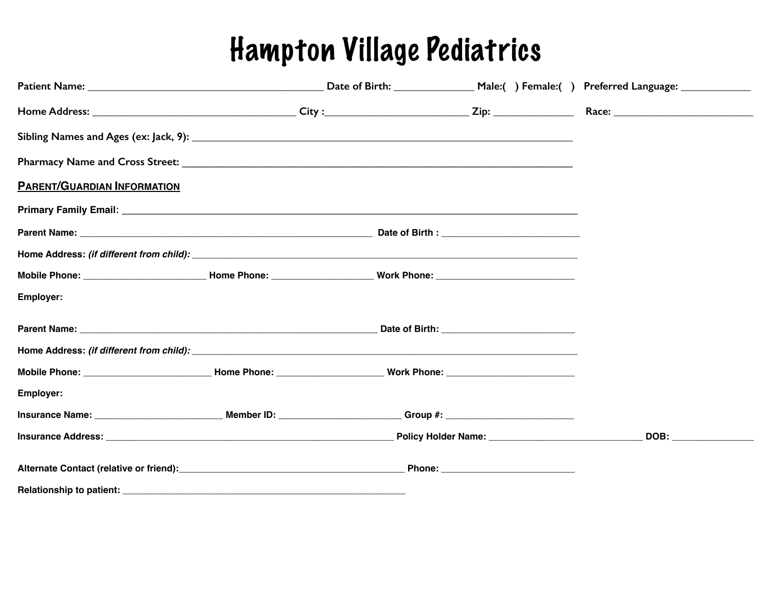## Hampton Village Pediatrics

| <b>PARENT/GUARDIAN INFORMATION</b>                                                                                         |  |  |                                                                                                                                                                                                                                |
|----------------------------------------------------------------------------------------------------------------------------|--|--|--------------------------------------------------------------------------------------------------------------------------------------------------------------------------------------------------------------------------------|
|                                                                                                                            |  |  |                                                                                                                                                                                                                                |
|                                                                                                                            |  |  |                                                                                                                                                                                                                                |
|                                                                                                                            |  |  |                                                                                                                                                                                                                                |
|                                                                                                                            |  |  |                                                                                                                                                                                                                                |
| Employer:                                                                                                                  |  |  |                                                                                                                                                                                                                                |
|                                                                                                                            |  |  |                                                                                                                                                                                                                                |
|                                                                                                                            |  |  |                                                                                                                                                                                                                                |
| Mobile Phone: __________________________________Home Phone: _____________________ Work Phone: ________________             |  |  |                                                                                                                                                                                                                                |
| Employer:                                                                                                                  |  |  |                                                                                                                                                                                                                                |
|                                                                                                                            |  |  |                                                                                                                                                                                                                                |
|                                                                                                                            |  |  | DOB: the contract of the contract of the contract of the contract of the contract of the contract of the contract of the contract of the contract of the contract of the contract of the contract of the contract of the contr |
| Alternate Contact (relative or friend): Notified and South Phone: Note of Phone: Note of the Contact (relative or friend): |  |  |                                                                                                                                                                                                                                |
|                                                                                                                            |  |  |                                                                                                                                                                                                                                |